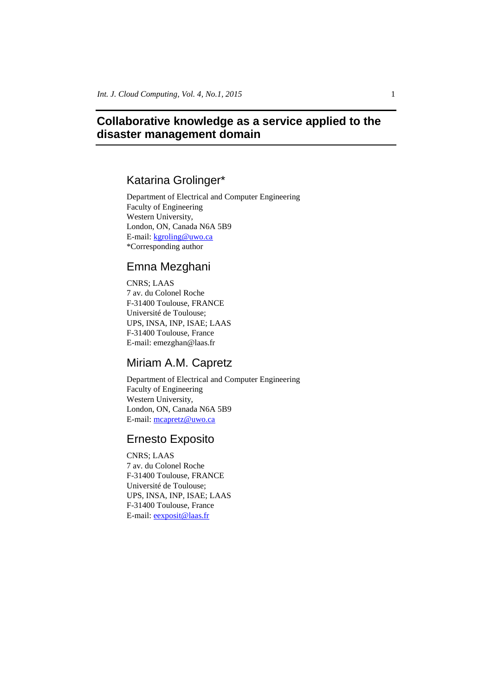# **Collaborative knowledge as a service applied to the disaster management domain**

# Katarina Grolinger\*

Department of Electrical and Computer Engineering Faculty of Engineering Western University, London, ON, Canada N6A 5B9 E-mail: [kgroling@uwo.ca](mailto:kgroling@uwo.ca) \*Corresponding author

# Emna Mezghani

CNRS; LAAS 7 av. du Colonel Roche F-31400 Toulouse, FRANCE Université de Toulouse; UPS, INSA, INP, ISAE; LAAS F-31400 Toulouse, France E-mail: emezghan@laas.fr

## Miriam A.M. Capretz

Department of Electrical and Computer Engineering Faculty of Engineering Western University, London, ON, Canada N6A 5B9 E-mail: [mcapretz@uwo.ca](mailto:mcapretz@uwo.ca)

## Ernesto Exposito

CNRS; LAAS 7 av. du Colonel Roche F-31400 Toulouse, FRANCE Université de Toulouse; UPS, INSA, INP, ISAE; LAAS F-31400 Toulouse, France E-mail: [eexposit@laas.fr](mailto:eexposit@laas.fr)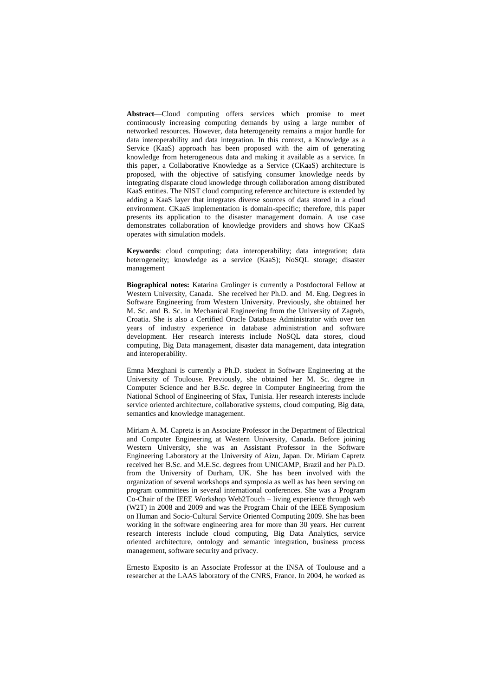**Abstract**—Cloud computing offers services which promise to meet continuously increasing computing demands by using a large number of networked resources. However, data heterogeneity remains a major hurdle for data interoperability and data integration. In this context, a Knowledge as a Service (KaaS) approach has been proposed with the aim of generating knowledge from heterogeneous data and making it available as a service. In this paper, a Collaborative Knowledge as a Service (CKaaS) architecture is proposed, with the objective of satisfying consumer knowledge needs by integrating disparate cloud knowledge through collaboration among distributed KaaS entities. The NIST cloud computing reference architecture is extended by adding a KaaS layer that integrates diverse sources of data stored in a cloud environment. CKaaS implementation is domain-specific; therefore, this paper presents its application to the disaster management domain. A use case demonstrates collaboration of knowledge providers and shows how CKaaS operates with simulation models.

**Keywords**: cloud computing; data interoperability; data integration; data heterogeneity; knowledge as a service (KaaS); NoSQL storage; disaster management

**Biographical notes:** Katarina Grolinger is currently a Postdoctoral Fellow at Western University, Canada. She received her Ph.D. and M. Eng. Degrees in Software Engineering from Western University. Previously, she obtained her M. Sc. and B. Sc. in Mechanical Engineering from the University of Zagreb, Croatia. She is also a Certified Oracle Database Administrator with over ten years of industry experience in database administration and software development. Her research interests include NoSQL data stores, cloud computing, Big Data management, disaster data management, data integration and interoperability.

Emna Mezghani is currently a Ph.D. student in Software Engineering at the University of Toulouse. Previously, she obtained her M. Sc. degree in Computer Science and her B.Sc. degree in Computer Engineering from the National School of Engineering of Sfax, Tunisia. Her research interests include service oriented architecture, collaborative systems, cloud computing, Big data, semantics and knowledge management.

Miriam A. M. Capretz is an Associate Professor in the Department of Electrical and Computer Engineering at Western University, Canada. Before joining Western University, she was an Assistant Professor in the Software Engineering Laboratory at the University of Aizu, Japan. Dr. Miriam Capretz received her B.Sc. and M.E.Sc. degrees from UNICAMP, Brazil and her Ph.D. from the University of Durham, UK. She has been involved with the organization of several workshops and symposia as well as has been serving on program committees in several international conferences. She was a Program Co-Chair of the IEEE Workshop Web2Touch – living experience through web (W2T) in 2008 and 2009 and was the Program Chair of the IEEE Symposium on Human and Socio-Cultural Service Oriented Computing 2009. She has been working in the software engineering area for more than 30 years. Her current research interests include cloud computing, Big Data Analytics, service oriented architecture, ontology and semantic integration, business process management, software security and privacy.

Ernesto Exposito is an Associate Professor at the INSA of Toulouse and a researcher at the LAAS laboratory of the CNRS, France. In 2004, he worked as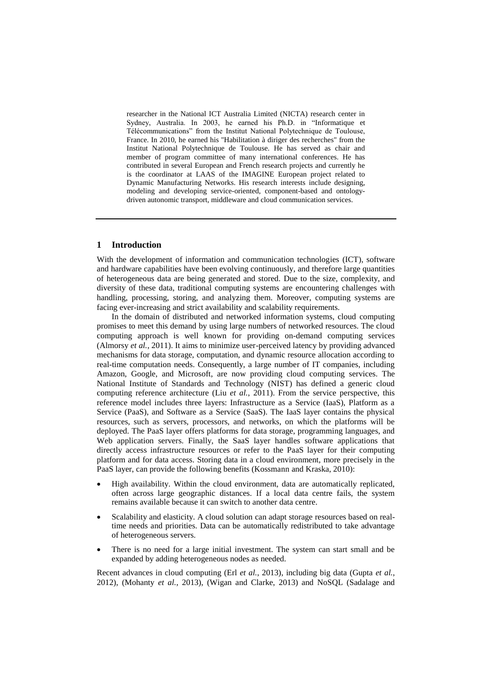researcher in the National ICT Australia Limited (NICTA) research center in Sydney, Australia. In 2003, he earned his Ph.D. in "Informatique et Télécommunications" from the Institut National Polytechnique de Toulouse, France. In 2010, he earned his "Habilitation à diriger des recherches" from the Institut National Polytechnique de Toulouse. He has served as chair and member of program committee of many international conferences. He has contributed in several European and French research projects and currently he is the coordinator at LAAS of the IMAGINE European project related to Dynamic Manufacturing Networks. His research interests include designing, modeling and developing service-oriented, component-based and ontologydriven autonomic transport, middleware and cloud communication services.

### **1 Introduction**

With the development of information and communication technologies (ICT), software and hardware capabilities have been evolving continuously, and therefore large quantities of heterogeneous data are being generated and stored. Due to the size, complexity, and diversity of these data, traditional computing systems are encountering challenges with handling, processing, storing, and analyzing them. Moreover, computing systems are facing ever-increasing and strict availability and scalability requirements.

In the domain of distributed and networked information systems, cloud computing promises to meet this demand by using large numbers of networked resources. The cloud computing approach is well known for providing on-demand computing services (Almorsy *et al.*, 2011). It aims to minimize user-perceived latency by providing advanced mechanisms for data storage, computation, and dynamic resource allocation according to real-time computation needs. Consequently, a large number of IT companies, including Amazon, Google, and Microsoft, are now providing cloud computing services. The [National Institute of Standards and Technology](http://www.nist.gov/) (NIST) has defined a generic cloud computing reference architecture (Liu *et al.*, 2011). From the service perspective, this reference model includes three layers: Infrastructure as a Service (IaaS), Platform as a Service (PaaS), and Software as a Service (SaaS). The IaaS layer contains the physical resources, such as servers, processors, and networks, on which the platforms will be deployed. The PaaS layer offers platforms for data storage, programming languages, and Web application servers. Finally, the SaaS layer handles software applications that directly access infrastructure resources or refer to the PaaS layer for their computing platform and for data access. Storing data in a cloud environment, more precisely in the PaaS layer, can provide the following benefits (Kossmann and Kraska, 2010):

- High availability. Within the cloud environment, data are automatically replicated, often across large geographic distances. If a local data centre fails, the system remains available because it can switch to another data centre.
- Scalability and elasticity. A cloud solution can adapt storage resources based on realtime needs and priorities. Data can be automatically redistributed to take advantage of heterogeneous servers.
- There is no need for a large initial investment. The system can start small and be expanded by adding heterogeneous nodes as needed.

Recent advances in cloud computing (Erl *et al.*, 2013), including big data (Gupta *et al.*, 2012), (Mohanty *et al.*, 2013), (Wigan and Clarke, 2013) and NoSQL (Sadalage and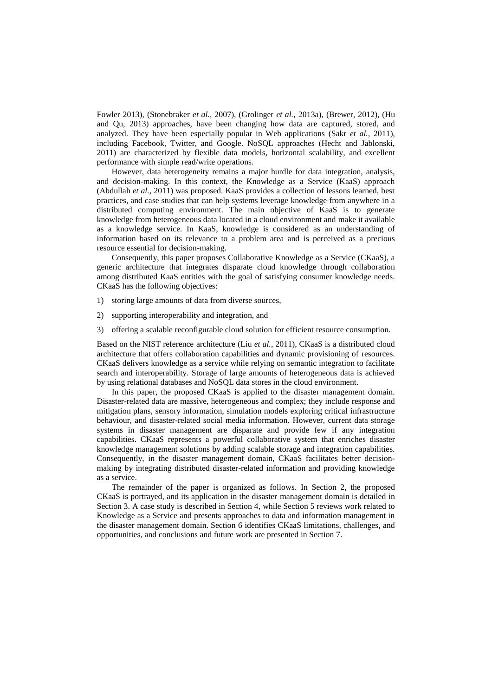Fowler 2013), (Stonebraker *et al.*, 2007), (Grolinger *et al.*, 2013a), (Brewer, 2012), (Hu and Qu, 2013) approaches, have been changing how data are captured, stored, and analyzed. They have been especially popular in Web applications (Sakr *et al.*, 2011), including Facebook, Twitter, and Google. NoSQL approaches (Hecht and Jablonski, 2011) are characterized by flexible data models, horizontal scalability, and excellent performance with simple read/write operations.

However, data heterogeneity remains a major hurdle for data integration, analysis, and decision-making. In this context, the Knowledge as a Service (KaaS) approach (Abdullah *et al.*, 2011) was proposed. KaaS provides a collection of lessons learned, best practices, and case studies that can help systems leverage knowledge from anywhere in a distributed computing environment. The main objective of KaaS is to generate knowledge from heterogeneous data located in a cloud environment and make it available as a knowledge service. In KaaS, knowledge is considered as an understanding of information based on its relevance to a problem area and is perceived as a precious resource essential for decision-making.

Consequently, this paper proposes Collaborative Knowledge as a Service (CKaaS), a generic architecture that integrates disparate cloud knowledge through collaboration among distributed KaaS entities with the goal of satisfying consumer knowledge needs. CKaaS has the following objectives:

- 1) storing large amounts of data from diverse sources,
- 2) supporting interoperability and integration, and
- 3) offering a scalable reconfigurable cloud solution for efficient resource consumption.

Based on the NIST reference architecture (Liu *et al.*, 2011), CKaaS is a distributed cloud architecture that offers collaboration capabilities and dynamic provisioning of resources. CKaaS delivers knowledge as a service while relying on semantic integration to facilitate search and interoperability. Storage of large amounts of heterogeneous data is achieved by using relational databases and NoSQL data stores in the cloud environment.

In this paper, the proposed CKaaS is applied to the disaster management domain. Disaster-related data are massive, heterogeneous and complex; they include response and mitigation plans, sensory information, simulation models exploring critical infrastructure behaviour, and disaster-related social media information. However, current data storage systems in disaster management are disparate and provide few if any integration capabilities. CKaaS represents a powerful collaborative system that enriches disaster knowledge management solutions by adding scalable storage and integration capabilities. Consequently, in the disaster management domain, CKaaS facilitates better decisionmaking by integrating distributed disaster-related information and providing knowledge as a service.

The remainder of the paper is organized as follows. In Section 2, the proposed CKaaS is portrayed, and its application in the disaster management domain is detailed in Section 3. A case study is described in Section 4, while Section 5 reviews work related to Knowledge as a Service and presents approaches to data and information management in the disaster management domain. Section 6 identifies CKaaS limitations, challenges, and opportunities, and conclusions and future work are presented in Section 7.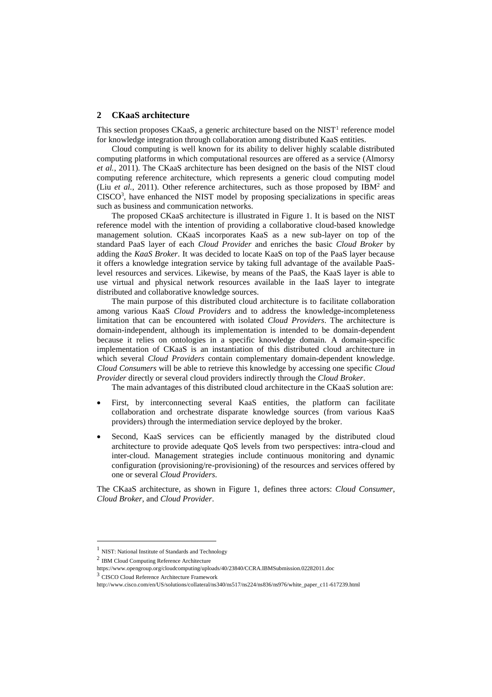#### **2 CKaaS architecture**

This section proposes CKaaS, a generic architecture based on the NIST<sup>1</sup> reference model for knowledge integration through collaboration among distributed KaaS entities.

Cloud computing is well known for its ability to deliver highly scalable distributed computing platforms in which computational resources are offered as a service (Almorsy *et al.*, 2011). The CKaaS architecture has been designed on the basis of the NIST cloud computing reference architecture, which represents a generic cloud computing model (Liu et al., 2011). Other reference architectures, such as those proposed by IBM<sup>2</sup> and  $CISCO<sup>3</sup>$ , have enhanced the NIST model by proposing specializations in specific areas such as business and communication networks.

The proposed CKaaS architecture is illustrated in Figure 1. It is based on the NIST reference model with the intention of providing a collaborative cloud-based knowledge management solution. CKaaS incorporates KaaS as a new sub-layer on top of the standard PaaS layer of each *Cloud Provider* and enriches the basic *Cloud Broker* by adding the *KaaS Broker*. It was decided to locate KaaS on top of the PaaS layer because it offers a knowledge integration service by taking full advantage of the available PaaSlevel resources and services. Likewise, by means of the PaaS, the KaaS layer is able to use virtual and physical network resources available in the IaaS layer to integrate distributed and collaborative knowledge sources.

The main purpose of this distributed cloud architecture is to facilitate collaboration among various KaaS *Cloud Providers* and to address the knowledge-incompleteness limitation that can be encountered with isolated *Cloud Providers*. The architecture is domain-independent, although its implementation is intended to be domain-dependent because it relies on ontologies in a specific knowledge domain. A domain-specific implementation of CKaaS is an instantiation of this distributed cloud architecture in which several *Cloud Providers* contain complementary domain-dependent knowledge. *Cloud Consumers* will be able to retrieve this knowledge by accessing one specific *Cloud Provider* directly or several cloud providers indirectly through the *Cloud Broker*.

The main advantages of this distributed cloud architecture in the CKaaS solution are:

- First, by interconnecting several KaaS entities, the platform can facilitate collaboration and orchestrate disparate knowledge sources (from various KaaS providers) through the intermediation service deployed by the broker.
- Second, KaaS services can be efficiently managed by the distributed cloud architecture to provide adequate QoS levels from two perspectives: intra-cloud and inter-cloud. Management strategies include continuous monitoring and dynamic configuration (provisioning/re-provisioning) of the resources and services offered by one or several *Cloud Providers*.

The CKaaS architecture, as shown in Figure 1, defines three actors: *Cloud Consumer*, *Cloud Broker*, and *Cloud Provider*.

 $\overline{a}$ 

<sup>1</sup> NIST: National Institute of Standards and Technology

<sup>2</sup> IBM Cloud Computing Reference Architecture

https://www.opengroup.org/cloudcomputing/uploads/40/23840/CCRA.IBMSubmission.02282011.doc

<sup>3</sup> CISCO Cloud Reference Architecture Framework

http://www.cisco.com/en/US/solutions/collateral/ns340/ns517/ns224/ns836/ns976/white\_paper\_c11-617239.html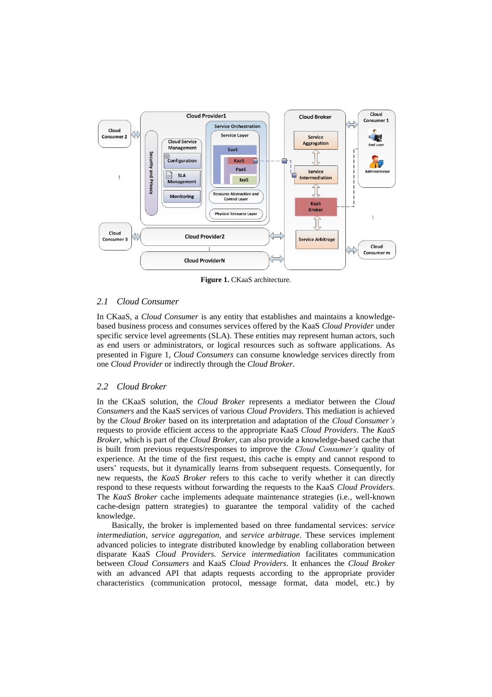

**Figure 1.** CKaaS architecture.

## *2.1 Cloud Consumer*

In CKaaS, a *Cloud Consumer* is any entity that establishes and maintains a knowledgebased business process and consumes services offered by the KaaS *Cloud Provider* under specific service level agreements (SLA). These entities may represent human actors, such as end users or administrators, or logical resources such as software applications. As presented in Figure 1, *Cloud Consumers* can consume knowledge services directly from one *Cloud Provider* or indirectly through the *Cloud Broker*.

## *2.2 Cloud Broker*

In the CKaaS solution, the *Cloud Broker* represents a mediator between the *Cloud Consumers* and the KaaS services of various *Cloud Providers*. This mediation is achieved by the *Cloud Broker* based on its interpretation and adaptation of the *Cloud Consumer's* requests to provide efficient access to the appropriate KaaS *Cloud Providers*. The *KaaS Broker*, which is part of the *Cloud Broker*, can also provide a knowledge-based cache that is built from previous requests/responses to improve the *Cloud Consumer's* quality of experience. At the time of the first request, this cache is empty and cannot respond to users' requests, but it dynamically learns from subsequent requests. Consequently, for new requests, the *KaaS Broker* refers to this cache to verify whether it can directly respond to these requests without forwarding the requests to the KaaS *Cloud Providers*. The *KaaS Broker* cache implements adequate maintenance strategies (i.e., well-known cache-design pattern strategies) to guarantee the temporal validity of the cached knowledge.

Basically, the broker is implemented based on three fundamental services: *service intermediation*, *service aggregation*, and *service arbitrage*. These services implement advanced policies to integrate distributed knowledge by enabling collaboration between disparate KaaS *Cloud Providers*. *Service intermediation* facilitates communication between *Cloud Consumers* and KaaS *Cloud Providers*. It enhances the *Cloud Broker* with an advanced API that adapts requests according to the appropriate provider characteristics (communication protocol, message format, data model, etc.) by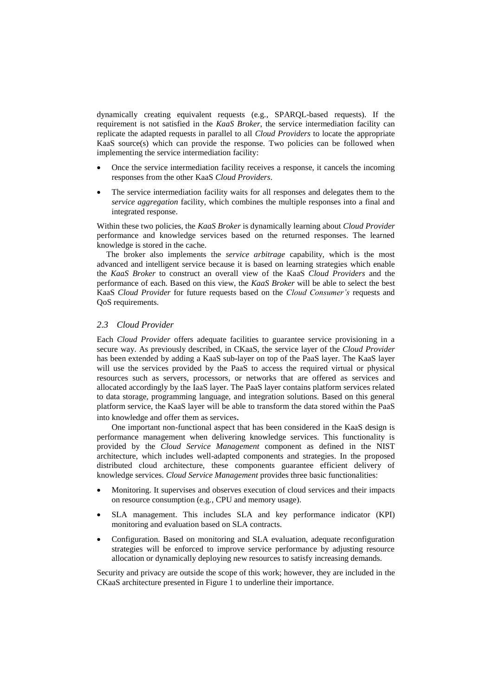dynamically creating equivalent requests (e.g., SPARQL-based requests). If the requirement is not satisfied in the *KaaS Broker*, the service intermediation facility can replicate the adapted requests in parallel to all *Cloud Providers* to locate the appropriate KaaS source(s) which can provide the response. Two policies can be followed when implementing the service intermediation facility:

- Once the service intermediation facility receives a response, it cancels the incoming responses from the other KaaS *Cloud Providers*.
- The service intermediation facility waits for all responses and delegates them to the *service aggregation* facility, which combines the multiple responses into a final and integrated response.

Within these two policies, the *KaaS Broker* is dynamically learning about *Cloud Provider*  performance and knowledge services based on the returned responses. The learned knowledge is stored in the cache.

The broker also implements the *service arbitrage* capability, which is the most advanced and intelligent service because it is based on learning strategies which enable the *KaaS Broker* to construct an overall view of the KaaS *Cloud Providers* and the performance of each. Based on this view, the *KaaS Broker* will be able to select the best KaaS *Cloud Provider* for future requests based on the *Cloud Consumer's* requests and QoS requirements.

#### *2.3 Cloud Provider*

Each *Cloud Provider* offers adequate facilities to guarantee service provisioning in a secure way. As previously described, in CKaaS, the service layer of the *Cloud Provider*  has been extended by adding a KaaS sub-layer on top of the PaaS layer. The KaaS layer will use the services provided by the PaaS to access the required virtual or physical resources such as servers, processors, or networks that are offered as services and allocated accordingly by the IaaS layer. The PaaS layer contains platform services related to data storage, programming language, and integration solutions. Based on this general platform service, the KaaS layer will be able to transform the data stored within the PaaS into knowledge and offer them as services.

One important non-functional aspect that has been considered in the KaaS design is performance management when delivering knowledge services. This functionality is provided by the *Cloud Service Management* component as defined in the NIST architecture, which includes well-adapted components and strategies. In the proposed distributed cloud architecture, these components guarantee efficient delivery of knowledge services. *Cloud Service Management* provides three basic functionalities:

- Monitoring. It supervises and observes execution of cloud services and their impacts on resource consumption (e.g., CPU and memory usage).
- SLA management. This includes SLA and key performance indicator (KPI) monitoring and evaluation based on SLA contracts.
- Configuration. Based on monitoring and SLA evaluation, adequate reconfiguration strategies will be enforced to improve service performance by adjusting resource allocation or dynamically deploying new resources to satisfy increasing demands.

Security and privacy are outside the scope of this work; however, they are included in the CKaaS architecture presented in Figure 1 to underline their importance.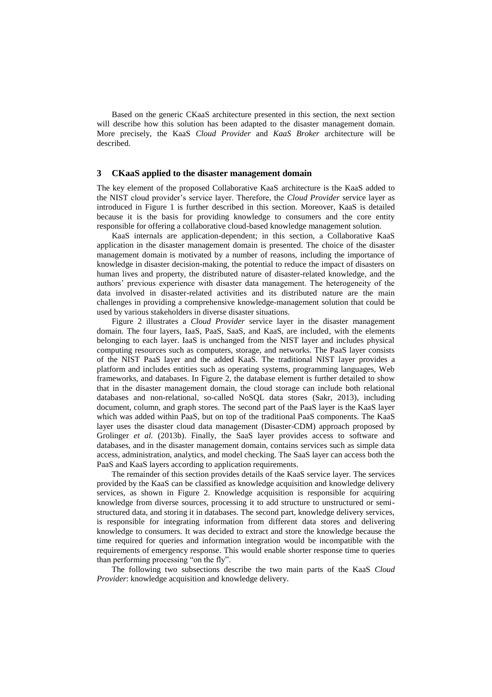Based on the generic CKaaS architecture presented in this section, the next section will describe how this solution has been adapted to the disaster management domain. More precisely, the KaaS *Cloud Provider* and *KaaS Broker* architecture will be described.

#### **3 CKaaS applied to the disaster management domain**

The key element of the proposed Collaborative KaaS architecture is the KaaS added to the NIST cloud provider's service layer. Therefore, the *Cloud Provider* service layer as introduced in Figure 1 is further described in this section. Moreover, KaaS is detailed because it is the basis for providing knowledge to consumers and the core entity responsible for offering a collaborative cloud-based knowledge management solution.

KaaS internals are application-dependent; in this section, a Collaborative KaaS application in the disaster management domain is presented. The choice of the disaster management domain is motivated by a number of reasons, including the importance of knowledge in disaster decision-making, the potential to reduce the impact of disasters on human lives and property, the distributed nature of disaster-related knowledge, and the authors' previous experience with disaster data management. The heterogeneity of the data involved in disaster-related activities and its distributed nature are the main challenges in providing a comprehensive knowledge-management solution that could be used by various stakeholders in diverse disaster situations.

Figure 2 illustrates a *Cloud Provider* service layer in the disaster management domain. The four layers, IaaS, PaaS, SaaS, and KaaS, are included, with the elements belonging to each layer. IaaS is unchanged from the NIST layer and includes physical computing resources such as computers, storage, and networks. The PaaS layer consists of the NIST PaaS layer and the added KaaS. The traditional NIST layer provides a platform and includes entities such as operating systems, programming languages, Web frameworks, and databases. In Figure 2, the database element is further detailed to show that in the disaster management domain, the cloud storage can include both relational databases and non-relational, so-called NoSQL data stores (Sakr, 2013), including document, column, and graph stores. The second part of the PaaS layer is the KaaS layer which was added within PaaS, but on top of the traditional PaaS components. The KaaS layer uses the disaster cloud data management (Disaster-CDM) approach proposed by Grolinger *et al.* (2013b). Finally, the SaaS layer provides access to software and databases, and in the disaster management domain, contains services such as simple data access, administration, analytics, and model checking. The SaaS layer can access both the PaaS and KaaS layers according to application requirements.

The remainder of this section provides details of the KaaS service layer. The services provided by the KaaS can be classified as knowledge acquisition and knowledge delivery services, as shown in Figure 2. Knowledge acquisition is responsible for acquiring knowledge from diverse sources, processing it to add structure to unstructured or semistructured data, and storing it in databases. The second part, knowledge delivery services, is responsible for integrating information from different data stores and delivering knowledge to consumers. It was decided to extract and store the knowledge because the time required for queries and information integration would be incompatible with the requirements of emergency response. This would enable shorter response time to queries than performing processing "on the fly".

The following two subsections describe the two main parts of the KaaS *Cloud Provider*: knowledge acquisition and knowledge delivery.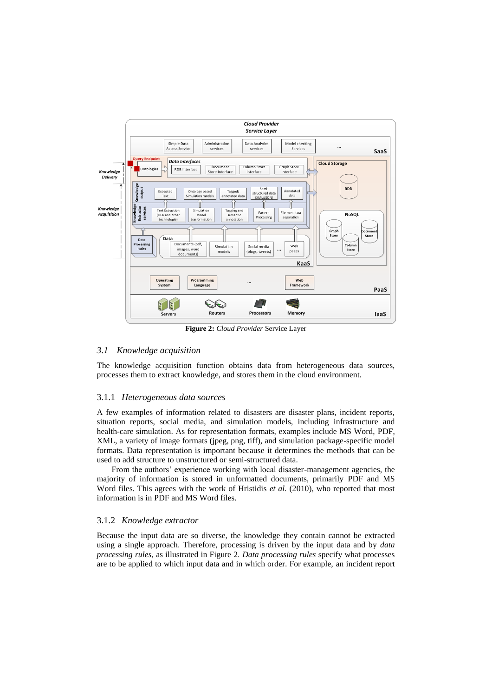

**Figure 2:** *Cloud Provider* Service Layer

#### *3.1 Knowledge acquisition*

The knowledge acquisition function obtains data from heterogeneous data sources, processes them to extract knowledge, and stores them in the cloud environment.

#### 3.1.1 *Heterogeneous data sources*

A few examples of information related to disasters are disaster plans, incident reports, situation reports, social media, and simulation models, including infrastructure and health-care simulation. As for representation formats, examples include MS Word, PDF, XML, a variety of image formats (jpeg, png, tiff), and simulation package-specific model formats. Data representation is important because it determines the methods that can be used to add structure to unstructured or semi-structured data.

From the authors' experience working with local disaster-management agencies, the majority of information is stored in unformatted documents, primarily PDF and MS Word files. This agrees with the work of Hristidis *et al.* (2010), who reported that most information is in PDF and MS Word files.

#### 3.1.2 *Knowledge extractor*

Because the input data are so diverse, the knowledge they contain cannot be extracted using a single approach. Therefore, processing is driven by the input data and by *data processing rules*, as illustrated in Figure 2. *Data processing rules* specify what processes are to be applied to which input data and in which order. For example, an incident report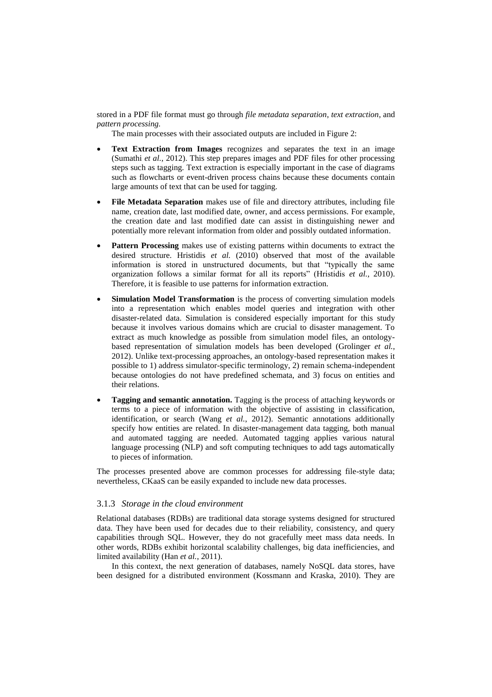stored in a PDF file format must go through *file metadata separation*, *text extraction*, and *pattern processing.*

The main processes with their associated outputs are included in Figure 2:

- **Text Extraction from Images** recognizes and separates the text in an image (Sumathi *et al.*, 2012). This step prepares images and PDF files for other processing steps such as tagging. Text extraction is especially important in the case of diagrams such as flowcharts or event-driven process chains because these documents contain large amounts of text that can be used for tagging.
- **File Metadata Separation** makes use of file and directory attributes, including file name, creation date, last modified date, owner, and access permissions. For example, the creation date and last modified date can assist in distinguishing newer and potentially more relevant information from older and possibly outdated information.
- **Pattern Processing** makes use of existing patterns within documents to extract the desired structure. Hristidis *et al.* (2010) observed that most of the available information is stored in unstructured documents, but that "typically the same organization follows a similar format for all its reports" (Hristidis *et al.*, 2010). Therefore, it is feasible to use patterns for information extraction.
- **Simulation Model Transformation** is the process of converting simulation models into a representation which enables model queries and integration with other disaster-related data. Simulation is considered especially important for this study because it involves various domains which are crucial to disaster management. To extract as much knowledge as possible from simulation model files, an ontologybased representation of simulation models has been developed (Grolinger *et al.*, 2012). Unlike text-processing approaches, an ontology-based representation makes it possible to 1) address simulator-specific terminology, 2) remain schema-independent because ontologies do not have predefined schemata, and 3) focus on entities and their relations.
- **Tagging and semantic annotation.** Tagging is the process of attaching keywords or terms to a piece of information with the objective of assisting in classification, identification, or search (Wang *et al.*, 2012). Semantic annotations additionally specify how entities are related. In disaster-management data tagging, both manual and automated tagging are needed. Automated tagging applies various natural language processing (NLP) and soft computing techniques to add tags automatically to pieces of information.

The processes presented above are common processes for addressing file-style data; nevertheless, CKaaS can be easily expanded to include new data processes.

#### 3.1.3 *Storage in the cloud environment*

Relational databases (RDBs) are traditional data storage systems designed for structured data. They have been used for decades due to their reliability, consistency, and query capabilities through SQL. However, they do not gracefully meet mass data needs. In other words, RDBs exhibit horizontal scalability challenges, big data inefficiencies, and limited availability (Han *et al.*, 2011).

In this context, the next generation of databases, namely NoSQL data stores, have been designed for a distributed environment (Kossmann and Kraska, 2010). They are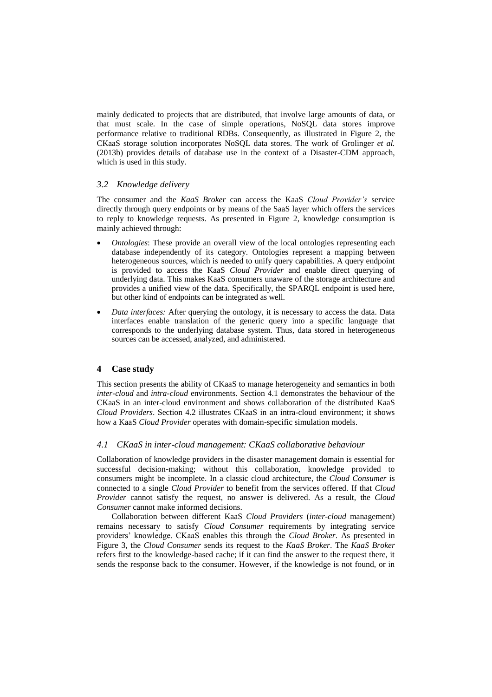mainly dedicated to projects that are distributed, that involve large amounts of data, or that must scale. In the case of simple operations, NoSQL data stores improve performance relative to traditional RDBs. Consequently, as illustrated in Figure 2, the CKaaS storage solution incorporates NoSQL data stores. The work of Grolinger *et al.* (2013b) provides details of database use in the context of a Disaster-CDM approach, which is used in this study.

### *3.2 Knowledge delivery*

The consumer and the *KaaS Broker* can access the KaaS *Cloud Provider's* service directly through query endpoints or by means of the SaaS layer which offers the services to reply to knowledge requests. As presented in Figure 2, knowledge consumption is mainly achieved through:

- *Ontologies*: These provide an overall view of the local ontologies representing each database independently of its category. Ontologies represent a mapping between heterogeneous sources, which is needed to unify query capabilities. A query endpoint is provided to access the KaaS *Cloud Provider* and enable direct querying of underlying data. This makes KaaS consumers unaware of the storage architecture and provides a unified view of the data. Specifically, the SPARQL endpoint is used here, but other kind of endpoints can be integrated as well.
- *Data interfaces:* After querying the ontology, it is necessary to access the data. Data interfaces enable translation of the generic query into a specific language that corresponds to the underlying database system. Thus, data stored in heterogeneous sources can be accessed, analyzed, and administered.

## **4 Case study**

This section presents the ability of CKaaS to manage heterogeneity and semantics in both *inter-cloud* and *intra-cloud* environments. Section 4.1 demonstrates the behaviour of the CKaaS in an inter-cloud environment and shows collaboration of the distributed KaaS *Cloud Providers*. Section 4.2 illustrates CKaaS in an intra-cloud environment; it shows how a KaaS *Cloud Provider* operates with domain-specific simulation models.

#### *4.1 CKaaS in inter-cloud management: CKaaS collaborative behaviour*

Collaboration of knowledge providers in the disaster management domain is essential for successful decision-making; without this collaboration, knowledge provided to consumers might be incomplete. In a classic cloud architecture, the *Cloud Consumer* is connected to a single *Cloud Provider* to benefit from the services offered. If that *Cloud Provider* cannot satisfy the request, no answer is delivered. As a result, the *Cloud Consumer* cannot make informed decisions.

Collaboration between different KaaS *Cloud Providers* (*inter-cloud* management) remains necessary to satisfy *Cloud Consumer* requirements by integrating service providers' knowledge. CKaaS enables this through the *Cloud Broker*. As presented in Figure 3, the *Cloud Consumer* sends its request to the *KaaS Broker*. The *KaaS Broker* refers first to the knowledge-based cache; if it can find the answer to the request there, it sends the response back to the consumer. However, if the knowledge is not found, or in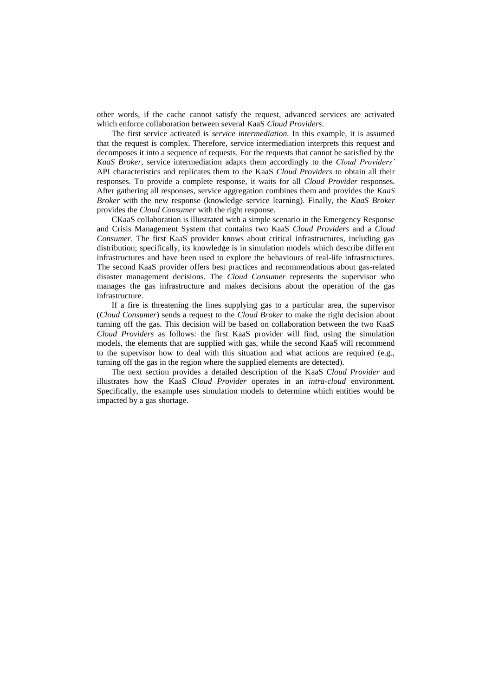other words, if the cache cannot satisfy the request, advanced services are activated which enforce collaboration between several KaaS *Cloud Providers*.

The first service activated is *service intermediation.* In this example, it is assumed that the request is complex. Therefore, service intermediation interprets this request and decomposes it into a sequence of requests. For the requests that cannot be satisfied by the *KaaS Broker*, service intermediation adapts them accordingly to the *Cloud Providers'* API characteristics and replicates them to the KaaS *Cloud Providers* to obtain all their responses. To provide a complete response, it waits for all *Cloud Provider* responses. After gathering all responses, service aggregation combines them and provides the *KaaS Broker* with the new response (knowledge service learning). Finally, the *KaaS Broker*  provides the *Cloud Consumer* with the right response.

CKaaS collaboration is illustrated with a simple scenario in the Emergency Response and Crisis Management System that contains two KaaS *Cloud Providers* and a *Cloud Consumer*. The first KaaS provider knows about critical infrastructures, including gas distribution; specifically, its knowledge is in simulation models which describe different infrastructures and have been used to explore the behaviours of real-life infrastructures. The second KaaS provider offers best practices and recommendations about gas-related disaster management decisions. The *Cloud Consumer* represents the supervisor who manages the gas infrastructure and makes decisions about the operation of the gas infrastructure.

If a fire is threatening the lines supplying gas to a particular area, the supervisor (*Cloud Consumer*) sends a request to the *Cloud Broker* to make the right decision about turning off the gas. This decision will be based on collaboration between the two KaaS *Cloud Providers* as follows: the first KaaS provider will find, using the simulation models, the elements that are supplied with gas, while the second KaaS will recommend to the supervisor how to deal with this situation and what actions are required (e.g., turning off the gas in the region where the supplied elements are detected).

The next section provides a detailed description of the KaaS *Cloud Provider* and illustrates how the KaaS *Cloud Provider* operates in an *intra-cloud* environment. Specifically, the example uses simulation models to determine which entities would be impacted by a gas shortage.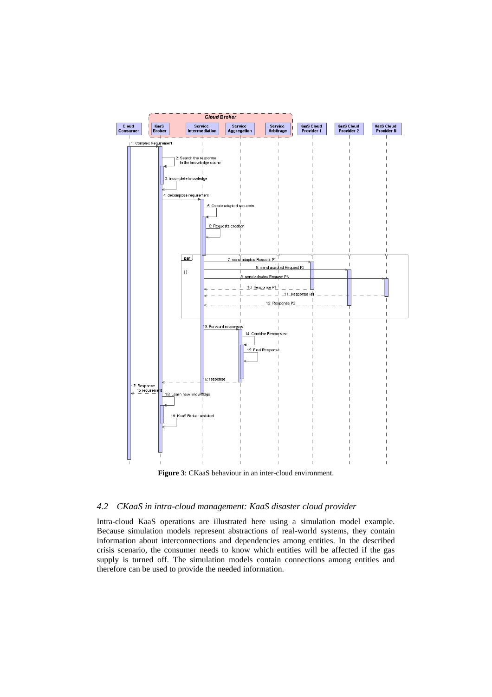

**Figure 3**: CKaaS behaviour in an inter-cloud environment.

## *4.2 CKaaS in intra-cloud management: KaaS disaster cloud provider*

Intra-cloud KaaS operations are illustrated here using a simulation model example. Because simulation models represent abstractions of real-world systems, they contain information about interconnections and dependencies among entities. In the described crisis scenario, the consumer needs to know which entities will be affected if the gas supply is turned off. The simulation models contain connections among entities and therefore can be used to provide the needed information.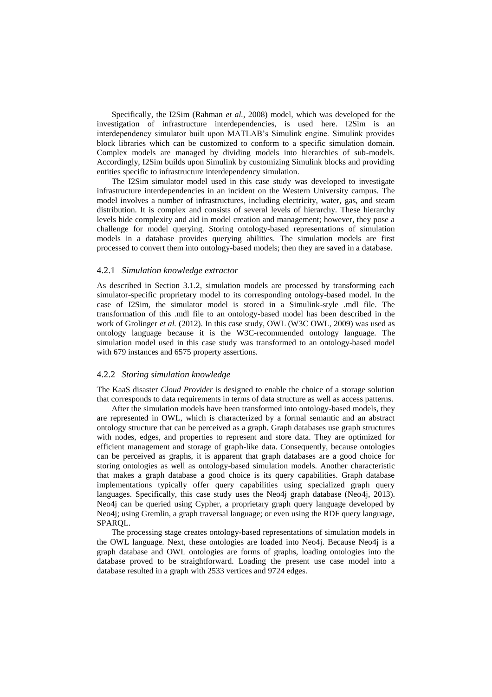Specifically, the I2Sim (Rahman *et al.*, 2008) model, which was developed for the investigation of infrastructure interdependencies, is used here. I2Sim is an interdependency simulator built upon MATLAB's Simulink engine. Simulink provides block libraries which can be customized to conform to a specific simulation domain. Complex models are managed by dividing models into hierarchies of sub-models. Accordingly, I2Sim builds upon Simulink by customizing Simulink blocks and providing entities specific to infrastructure interdependency simulation.

The I2Sim simulator model used in this case study was developed to investigate infrastructure interdependencies in an incident on the Western University campus. The model involves a number of infrastructures, including electricity, water, gas, and steam distribution. It is complex and consists of several levels of hierarchy. These hierarchy levels hide complexity and aid in model creation and management; however, they pose a challenge for model querying. Storing ontology-based representations of simulation models in a database provides querying abilities. The simulation models are first processed to convert them into ontology-based models; then they are saved in a database.

#### 4.2.1 *Simulation knowledge extractor*

As described in Section 3.1.2, simulation models are processed by transforming each simulator-specific proprietary model to its corresponding ontology-based model. In the case of I2Sim, the simulator model is stored in a Simulink-style .mdl file. The transformation of this .mdl file to an ontology-based model has been described in the work of Grolinger *et al.* (2012). In this case study, OWL (W3C OWL, 2009) was used as ontology language because it is the W3C-recommended ontology language. The simulation model used in this case study was transformed to an ontology-based model with 679 instances and 6575 property assertions.

## 4.2.2 *Storing simulation knowledge*

The KaaS disaster *Cloud Provider* is designed to enable the choice of a storage solution that corresponds to data requirements in terms of data structure as well as access patterns.

After the simulation models have been transformed into ontology-based models, they are represented in OWL, which is characterized by a formal semantic and an abstract ontology structure that can be perceived as a graph. Graph databases use graph structures with nodes, edges, and properties to represent and store data. They are optimized for efficient management and storage of graph-like data. Consequently, because ontologies can be perceived as graphs, it is apparent that graph databases are a good choice for storing ontologies as well as ontology-based simulation models. Another characteristic that makes a graph database a good choice is its query capabilities. Graph database implementations typically offer query capabilities using specialized graph query languages. Specifically, this case study uses the Neo4j graph database (Neo4j, 2013). Neo4j can be queried using Cypher, a proprietary graph query language developed by Neo4j; using Gremlin, a graph traversal language; or even using the RDF query language, SPARQL.

The processing stage creates ontology-based representations of simulation models in the OWL language. Next, these ontologies are loaded into Neo4j. Because Neo4j is a graph database and OWL ontologies are forms of graphs, loading ontologies into the database proved to be straightforward. Loading the present use case model into a database resulted in a graph with 2533 vertices and 9724 edges.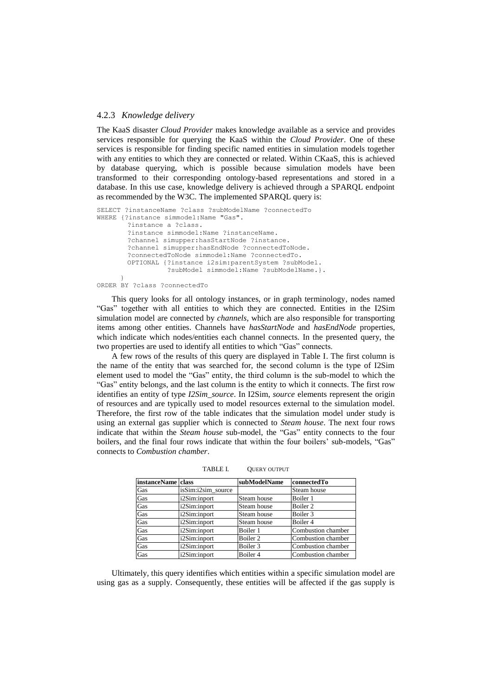#### 4.2.3 *Knowledge delivery*

The KaaS disaster *Cloud Provider* makes knowledge available as a service and provides services responsible for querying the KaaS within the *Cloud Provider*. One of these services is responsible for finding specific named entities in simulation models together with any entities to which they are connected or related. Within CKaaS, this is achieved by database querying, which is possible because simulation models have been transformed to their corresponding ontology-based representations and stored in a database. In this use case, knowledge delivery is achieved through a SPARQL endpoint as recommended by the W3C. The implemented SPARQL query is:

```
SELECT ?instanceName ?class ?subModelName ?connectedTo 
WHERE {?instance simmodel:Name "Gas".
       ?instance a ?class.
        ?instance simmodel:Name ?instanceName.
       ?channel simupper:hasStartNode ?instance.
       ?channel simupper:hasEndNode ?connectedToNode.
        ?connectedToNode simmodel:Name ?connectedTo.
       OPTIONAL {?instance i2sim:parentSystem ?subModel.
                   ?subModel simmodel:Name ?subModelName.}. 
      }
```
ORDER BY ?class ?connectedTo

This query looks for all ontology instances, or in graph terminology, nodes named "Gas" together with all entities to which they are connected. Entities in the I2Sim simulation model are connected by *channels*, which are also responsible for transporting items among other entities. Channels have *hasStartNode* and *hasEndNode* properties, which indicate which nodes/entities each channel connects. In the presented query, the two properties are used to identify all entities to which "Gas" connects.

A few rows of the results of this query are displayed in Table I. The first column is the name of the entity that was searched for, the second column is the type of I2Sim element used to model the "Gas" entity, the third column is the sub-model to which the "Gas" entity belongs, and the last column is the entity to which it connects. The first row identifies an entity of type *I2Sim\_source*. In I2Sim, *source* elements represent the origin of resources and are typically used to model resources external to the simulation model. Therefore, the first row of the table indicates that the simulation model under study is using an external gas supplier which is connected to *Steam house*. The next four rows indicate that within the *Steam house* sub-model, the "Gas" entity connects to the four boilers, and the final four rows indicate that within the four boilers' sub-models, "Gas" connects to *Combustion chamber*.

| instanceName class |                    | subModelName | connectedTo        |
|--------------------|--------------------|--------------|--------------------|
| Gas                | isSim:i2sim source |              | Steam house        |
| Gas                | i2Sim:inport       | Steam house  | Boiler 1           |
| Gas                | i2Sim:inport       | Steam house  | Boiler 2           |
| Gas                | i2Sim:inport       | Steam house  | Boiler 3           |
| Gas                | i2Sim:inport       | Steam house  | Boiler 4           |
| Gas                | i2Sim:inport       | Boiler 1     | Combustion chamber |
| Gas                | i2Sim:inport       | Boiler 2     | Combustion chamber |
| Gas                | i2Sim:inport       | Boiler 3     | Combustion chamber |
| Gas                | i2Sim:inport       | Boiler 4     | Combustion chamber |

TABLE I. QUERY OUTPUT

Ultimately, this query identifies which entities within a specific simulation model are using gas as a supply. Consequently, these entities will be affected if the gas supply is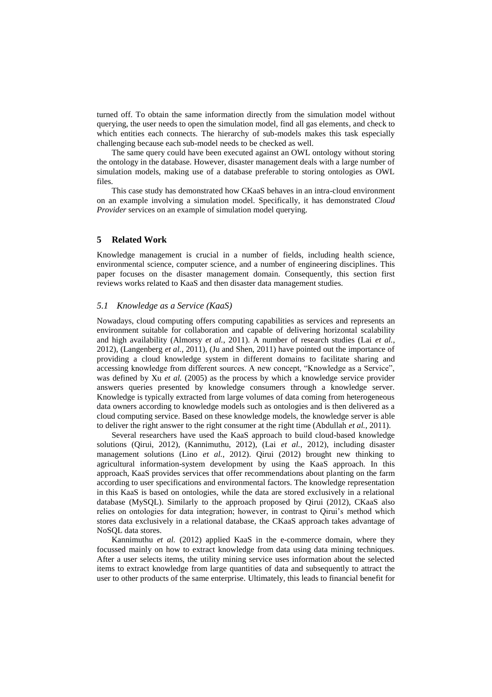turned off. To obtain the same information directly from the simulation model without querying, the user needs to open the simulation model, find all gas elements, and check to which entities each connects. The hierarchy of sub-models makes this task especially challenging because each sub-model needs to be checked as well.

The same query could have been executed against an OWL ontology without storing the ontology in the database. However, disaster management deals with a large number of simulation models, making use of a database preferable to storing ontologies as OWL files.

This case study has demonstrated how CKaaS behaves in an intra-cloud environment on an example involving a simulation model. Specifically, it has demonstrated *Cloud Provider* services on an example of simulation model querying.

### **5 Related Work**

Knowledge management is crucial in a number of fields, including health science, environmental science, computer science, and a number of engineering disciplines. This paper focuses on the disaster management domain. Consequently, this section first reviews works related to KaaS and then disaster data management studies.

#### *5.1 Knowledge as a Service (KaaS)*

Nowadays, cloud computing offers computing capabilities as services and represents an environment suitable for collaboration and capable of delivering horizontal scalability and high availability (Almorsy *et al.*, 2011). A number of research studies (Lai *et al.*, 2012), (Langenberg *et al.*, 2011), (Ju and Shen, 2011) have pointed out the importance of providing a cloud knowledge system in different domains to facilitate sharing and accessing knowledge from different sources. A new concept, "Knowledge as a Service", was defined by Xu *et al.* (2005) as the process by which a knowledge service provider answers queries presented by knowledge consumers through a knowledge server. Knowledge is typically extracted from large volumes of data coming from heterogeneous data owners according to knowledge models such as ontologies and is then delivered as a cloud computing service. Based on these knowledge models, the knowledge server is able to deliver the right answer to the right consumer at the right time (Abdullah *et al.*, 2011).

Several researchers have used the KaaS approach to build cloud-based knowledge solutions (Qirui, 2012), (Kannimuthu, 2012), (Lai *et al.*, 2012), including disaster management solutions (Lino *et al.*, 2012). Qirui (2012) brought new thinking to agricultural information-system development by using the KaaS approach. In this approach, KaaS provides services that offer recommendations about planting on the farm according to user specifications and environmental factors. The knowledge representation in this KaaS is based on ontologies, while the data are stored exclusively in a relational database (MySQL). Similarly to the approach proposed by Qirui (2012), CKaaS also relies on ontologies for data integration; however, in contrast to Qirui's method which stores data exclusively in a relational database, the CKaaS approach takes advantage of NoSQL data stores.

Kannimuthu *et al.* (2012) applied KaaS in the e-commerce domain, where they focussed mainly on how to extract knowledge from data using data mining techniques. After a user selects items, the utility mining service uses information about the selected items to extract knowledge from large quantities of data and subsequently to attract the user to other products of the same enterprise. Ultimately, this leads to financial benefit for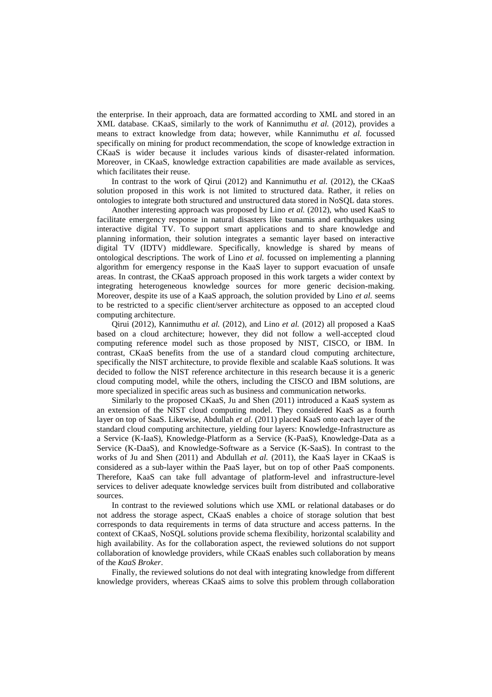the enterprise. In their approach, data are formatted according to XML and stored in an XML database. CKaaS, similarly to the work of Kannimuthu *et al.* (2012), provides a means to extract knowledge from data; however, while Kannimuthu *et al.* focussed specifically on mining for product recommendation, the scope of knowledge extraction in CKaaS is wider because it includes various kinds of disaster-related information. Moreover, in CKaaS, knowledge extraction capabilities are made available as services, which facilitates their reuse.

In contrast to the work of Qirui (2012) and Kannimuthu *et al.* (2012), the CKaaS solution proposed in this work is not limited to structured data. Rather, it relies on ontologies to integrate both structured and unstructured data stored in NoSQL data stores.

Another interesting approach was proposed by Lino *et al.* (2012), who used KaaS to facilitate emergency response in natural disasters like tsunamis and earthquakes using interactive digital TV. To support smart applications and to share knowledge and planning information, their solution integrates a semantic layer based on interactive digital TV (IDTV) middleware. Specifically, knowledge is shared by means of ontological descriptions. The work of Lino *et al.* focussed on implementing a planning algorithm for emergency response in the KaaS layer to support evacuation of unsafe areas. In contrast, the CKaaS approach proposed in this work targets a wider context by integrating heterogeneous knowledge sources for more generic decision-making. Moreover, despite its use of a KaaS approach, the solution provided by Lino *et al.* seems to be restricted to a specific client/server architecture as opposed to an accepted cloud computing architecture.

Qirui (2012), Kannimuthu *et al.* (2012), and Lino *et al.* (2012) all proposed a KaaS based on a cloud architecture; however, they did not follow a well-accepted cloud computing reference model such as those proposed by NIST, CISCO, or IBM. In contrast, CKaaS benefits from the use of a standard cloud computing architecture, specifically the NIST architecture, to provide flexible and scalable KaaS solutions. It was decided to follow the NIST reference architecture in this research because it is a generic cloud computing model, while the others, including the CISCO and IBM solutions, are more specialized in specific areas such as business and communication networks.

Similarly to the proposed CKaaS, Ju and Shen (2011) introduced a KaaS system as an extension of the NIST cloud computing model. They considered KaaS as a fourth layer on top of SaaS. Likewise, Abdullah *et al.* (2011) placed KaaS onto each layer of the standard cloud computing architecture, yielding four layers: Knowledge-Infrastructure as a Service (K-IaaS), Knowledge-Platform as a Service (K-PaaS), Knowledge-Data as a Service (K-DaaS), and Knowledge-Software as a Service (K-SaaS). In contrast to the works of Ju and Shen (2011) and Abdullah *et al.* (2011), the KaaS layer in CKaaS is considered as a sub-layer within the PaaS layer, but on top of other PaaS components. Therefore, KaaS can take full advantage of platform-level and infrastructure-level services to deliver adequate knowledge services built from distributed and collaborative sources.

In contrast to the reviewed solutions which use XML or relational databases or do not address the storage aspect, CKaaS enables a choice of storage solution that best corresponds to data requirements in terms of data structure and access patterns. In the context of CKaaS, NoSQL solutions provide schema flexibility, horizontal scalability and high availability. As for the collaboration aspect, the reviewed solutions do not support collaboration of knowledge providers, while CKaaS enables such collaboration by means of the *KaaS Broker*.

Finally, the reviewed solutions do not deal with integrating knowledge from different knowledge providers, whereas CKaaS aims to solve this problem through collaboration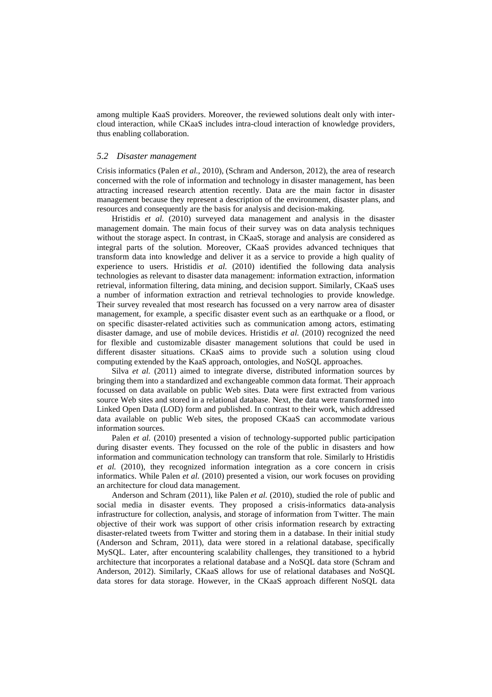among multiple KaaS providers. Moreover, the reviewed solutions dealt only with intercloud interaction, while CKaaS includes intra-cloud interaction of knowledge providers, thus enabling collaboration.

#### *5.2 Disaster management*

Crisis informatics (Palen *et al.*, 2010), (Schram and Anderson, 2012), the area of research concerned with the role of information and technology in disaster management, has been attracting increased research attention recently. Data are the main factor in disaster management because they represent a description of the environment, disaster plans, and resources and consequently are the basis for analysis and decision-making.

Hristidis *et al.* (2010) surveyed data management and analysis in the disaster management domain. The main focus of their survey was on data analysis techniques without the storage aspect. In contrast, in CKaaS, storage and analysis are considered as integral parts of the solution. Moreover, CKaaS provides advanced techniques that transform data into knowledge and deliver it as a service to provide a high quality of experience to users. Hristidis *et al.* (2010) identified the following data analysis technologies as relevant to disaster data management: information extraction, information retrieval, information filtering, data mining, and decision support. Similarly, CKaaS uses a number of information extraction and retrieval technologies to provide knowledge. Their survey revealed that most research has focussed on a very narrow area of disaster management, for example, a specific disaster event such as an earthquake or a flood, or on specific disaster-related activities such as communication among actors, estimating disaster damage, and use of mobile devices. Hristidis *et al.* (2010) recognized the need for flexible and customizable disaster management solutions that could be used in different disaster situations. CKaaS aims to provide such a solution using cloud computing extended by the KaaS approach, ontologies, and NoSQL approaches.

Silva *et al.* (2011) aimed to integrate diverse, distributed information sources by bringing them into a standardized and exchangeable common data format. Their approach focussed on data available on public Web sites. Data were first extracted from various source Web sites and stored in a relational database. Next, the data were transformed into Linked Open Data (LOD) form and published. In contrast to their work, which addressed data available on public Web sites, the proposed CKaaS can accommodate various information sources.

Palen *et al.* (2010) presented a vision of technology-supported public participation during disaster events. They focussed on the role of the public in disasters and how information and communication technology can transform that role. Similarly to Hristidis *et al.* (2010), they recognized information integration as a core concern in crisis informatics. While Palen *et al.* (2010) presented a vision, our work focuses on providing an architecture for cloud data management.

Anderson and Schram (2011), like Palen *et al.* (2010), studied the role of public and social media in disaster events. They proposed a crisis-informatics data-analysis infrastructure for collection, analysis, and storage of information from Twitter. The main objective of their work was support of other crisis information research by extracting disaster-related tweets from Twitter and storing them in a database. In their initial study (Anderson and Schram, 2011), data were stored in a relational database, specifically MySQL. Later, after encountering scalability challenges, they transitioned to a hybrid architecture that incorporates a relational database and a NoSQL data store (Schram and Anderson, 2012). Similarly, CKaaS allows for use of relational databases and NoSQL data stores for data storage. However, in the CKaaS approach different NoSQL data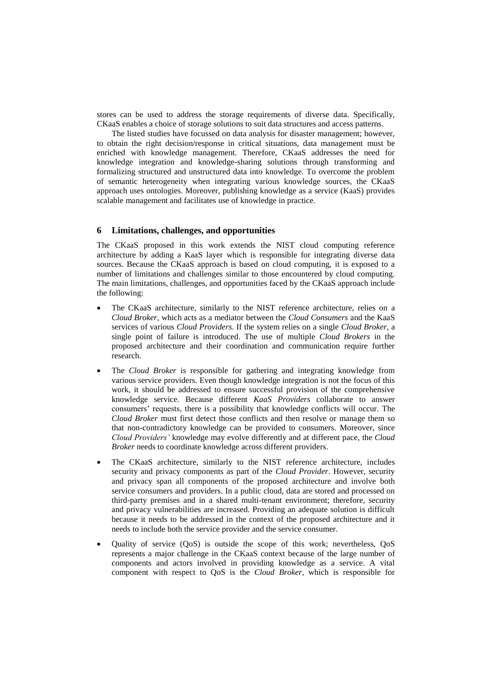stores can be used to address the storage requirements of diverse data. Specifically, CKaaS enables a choice of storage solutions to suit data structures and access patterns.

The listed studies have focussed on data analysis for disaster management; however, to obtain the right decision/response in critical situations, data management must be enriched with knowledge management. Therefore, CKaaS addresses the need for knowledge integration and knowledge-sharing solutions through transforming and formalizing structured and unstructured data into knowledge. To overcome the problem of semantic heterogeneity when integrating various knowledge sources, the CKaaS approach uses ontologies. Moreover, publishing knowledge as a service (KaaS) provides scalable management and facilitates use of knowledge in practice.

#### **6 Limitations, challenges, and opportunities**

The CKaaS proposed in this work extends the NIST cloud computing reference architecture by adding a KaaS layer which is responsible for integrating diverse data sources. Because the CKaaS approach is based on cloud computing, it is exposed to a number of limitations and challenges similar to those encountered by cloud computing. The main limitations, challenges, and opportunities faced by the CKaaS approach include the following:

- The CKaaS architecture, similarly to the NIST reference architecture, relies on a *Cloud Broker*, which acts as a mediator between the *Cloud Consumers* and the KaaS services of various *Cloud Providers*. If the system relies on a single *Cloud Broker*, a single point of failure is introduced. The use of multiple *Cloud Brokers* in the proposed architecture and their coordination and communication require further research.
- The *Cloud Broker* is responsible for gathering and integrating knowledge from various service providers. Even though knowledge integration is not the focus of this work, it should be addressed to ensure successful provision of the comprehensive knowledge service. Because different *KaaS Providers* collaborate to answer consumers' requests, there is a possibility that knowledge conflicts will occur. The *Cloud Broker* must first detect those conflicts and then resolve or manage them so that non-contradictory knowledge can be provided to consumers. Moreover, since *Cloud Providers'* knowledge may evolve differently and at different pace, the *Cloud Broker* needs to coordinate knowledge across different providers.
- The CKaaS architecture, similarly to the NIST reference architecture, includes security and privacy components as part of the *Cloud Provider*. However, security and privacy span all components of the proposed architecture and involve both service consumers and providers. In a public cloud, data are stored and processed on third-party premises and in a shared multi-tenant environment; therefore, security and privacy vulnerabilities are increased. Providing an adequate solution is difficult because it needs to be addressed in the context of the proposed architecture and it needs to include both the service provider and the service consumer.
- Quality of service (QoS) is outside the scope of this work; nevertheless, QoS represents a major challenge in the CKaaS context because of the large number of components and actors involved in providing knowledge as a service. A vital component with respect to QoS is the *Cloud Broker*, which is responsible for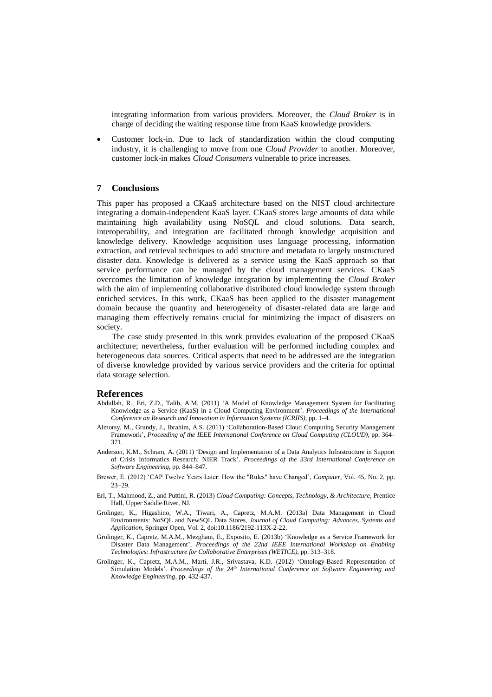integrating information from various providers. Moreover, the *Cloud Broker* is in charge of deciding the waiting response time from KaaS knowledge providers.

 Customer lock-in. Due to lack of standardization within the cloud computing industry, it is challenging to move from one *Cloud Provider* to another. Moreover, customer lock-in makes *Cloud Consumers* vulnerable to price increases.

#### **7 Conclusions**

This paper has proposed a CKaaS architecture based on the NIST cloud architecture integrating a domain-independent KaaS layer. CKaaS stores large amounts of data while maintaining high availability using NoSQL and cloud solutions. Data search, interoperability, and integration are facilitated through knowledge acquisition and knowledge delivery. Knowledge acquisition uses language processing, information extraction, and retrieval techniques to add structure and metadata to largely unstructured disaster data. Knowledge is delivered as a service using the KaaS approach so that service performance can be managed by the cloud management services. CKaaS overcomes the limitation of knowledge integration by implementing the *Cloud Broker* with the aim of implementing collaborative distributed cloud knowledge system through enriched services. In this work, CKaaS has been applied to the disaster management domain because the quantity and heterogeneity of disaster-related data are large and managing them effectively remains crucial for minimizing the impact of disasters on society.

The case study presented in this work provides evaluation of the proposed CKaaS architecture; nevertheless, further evaluation will be performed including complex and heterogeneous data sources. Critical aspects that need to be addressed are the integration of diverse knowledge provided by various service providers and the criteria for optimal data storage selection.

#### **References**

- Abdullah, R., Eri, Z.D., Talib, A.M. (2011) 'A Model of Knowledge Management System for Facilitating Knowledge as a Service (KaaS) in a Cloud Computing Environment'. *Proceedings of the International Conference on Research and Innovation in Information Systems (ICRIIS),* pp. 1–4.
- Almorsy, M., Grundy, J., Ibrahim, A.S. (2011) 'Collaboration-Based Cloud Computing Security Management Framework', *Proceeding of the IEEE International Conference on Cloud Computing (CLOUD)*, pp. 364– 371.
- Anderson, K.M., Schram, A. (2011) 'Design and Implementation of a Data Analytics Infrastructure in Support of Crisis Informatics Research: NIER Track'. *Proceedings of the 33rd International Conference on Software Engineering*, pp. 844–847.
- Brewer, E. (2012) 'CAP Twelve Years Later: How the "Rules" have Changed', *Computer*, Vol. 45, No. 2, pp. 23–29.
- Erl, T., Mahmood, Z., and Puttini, R. (2013) *Cloud Computing: Concepts, Technology, & Architecture*, Prentice Hall, Upper Saddle River, NJ.
- Grolinger, K., Higashino, W.A., Tiwari, A., Capretz, M.A.M. (2013a) Data Management in Cloud Environments: NoSQL and NewSQL Data Stores, *Journal of Cloud Computing: Advances, Systems and Application*, Springer Open, Vol. 2, doi:10.1186/2192-113X-2-22.
- Grolinger, K., Capretz, M.A.M., Mezghani, E., Exposito, E. (2013b) 'Knowledge as a Service Framework for Disaster Data Management', *Proceedings of the 22nd IEEE International Workshop on Enabling Technologies: Infrastructure for Collaborative Enterprises (WETICE)*, pp. 313–318.
- Grolinger, K., Capretz, M.A.M., Marti, J.R., Srivastava, K.D. (2012) 'Ontology-Based Representation of Simulation Models'. *Proceedings of the 24th International Conference on Software Engineering and Knowledge Engineering,* pp. 432-437.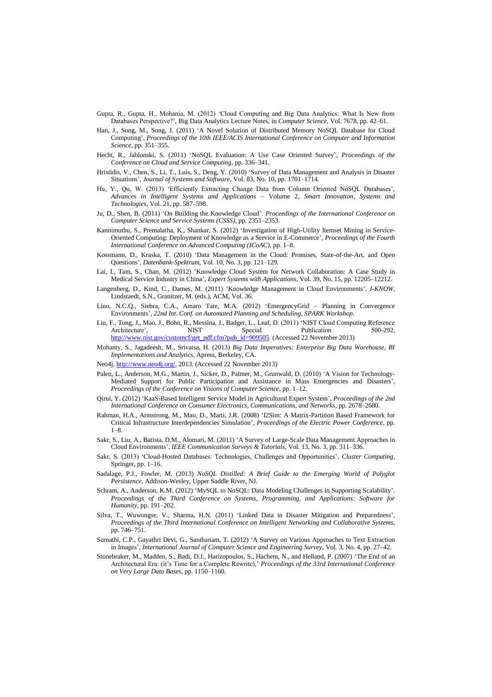- Gupta, R., Gupta, H., Mohania, M. (2012) 'Cloud Computing and Big Data Analytics: What Is New from Databases Perspective?', Big Data Analytics Lecture Notes, in *Computer Science*, Vol. 7678, pp. 42–61.
- Han, J., Song, M., Song, J. (2011) 'A Novel Solution of Distributed Memory NoSQL Database for Cloud Computing', *Proceedings of the 10th IEEE/ACIS International Conference on Computer and Information Science*, pp. 351–355.
- Hecht, R., Jablonski, S. (2011) 'NoSQL Evaluation: A Use Case Oriented Survey', *Proceedings of the Conference on Cloud and Service Computing*, pp. 336–341.
- Hristidis, V., Chen, S., Li, T., Luis, S., Deng, Y. (2010) 'Survey of Data Management and Analysis in Disaster Situations', *Journal of Systems and Software*, Vol. 83, No. 10, pp. 1701–1714.
- Hu, Y., Qu, W. (2013) 'Efficiently Extracting Change Data from Column Oriented NoSQL Databases', *Advances in Intelligent Systems and Applications* – Volume 2, *Smart Innovation, Systems and Technologies*, Vol. 21, pp. 587–598.
- Ju, D., Shen, B. (2011) 'On Building the Knowledge Cloud'. *Proceedings of the International Conference on Computer Science and Service Systems (CSSS)*, pp. 2351–2353.
- Kannimuthu, S., Premalatha, K., Shankar, S. (2012) 'Investigation of High-Utility Itemset Mining in Service-Oriented Computing: Deployment of Knowledge as a Service in E-Commerce', *Proceedings of the Fourth International Conference on Advanced Computing (ICoAC)*, pp. 1–8.
- Kossmann, D., Kraska, T. (2010) 'Data Management in the Cloud: Promises, State-of-the-Art, and Open Questions', *Datenbank-Spektrum*, Vol. 10, No. 3, pp. 121–129.
- Lai, I., Tam, S., Chan, M. (2012) 'Knowledge Cloud System for Network Collaboration: A Case Study in Medical Service Industry in China', *Expert Systems with Applications*, Vol. 39, No. 15, pp. 12205–12212.
- Langenberg, D., Kind, C., Dames, M. (2011) ['Knowledge Management in Cloud Environments'.](http://www.bibsonomy.org/bibtex/2390d6a44acaaf37f16e59b0acb8c7b5c/dblp) *I-KNOW*, Lindstaedt, S.N., Granitzer, M. (eds.), ACM, Vol. 36.
- Lino, N.C.Q., Siebra, C.A., Amaro Tate, M.A. (2012) 'EmergencyGrid Planning in Convergence Environments', *22nd Int. Conf. on Automated Planning and Scheduling, SPARK Workshop.*
- Liu, F., Tong, J., Mao, J., Bohn, R., Messina, J., Badger, L., Leaf, D. (2011) 'NIST Cloud Computing Reference Architecture', NIST Special Publication 500-29[2,](http://www.nist.gov/customcf/get_pdf.cfm?pub_id=909505) [http://www.nist.gov/customcf/get\\_pdf.cfm?pub\\_id=909505.](http://www.nist.gov/customcf/get_pdf.cfm?pub_id=909505) (Accessed 22 November 2013)
- Mohanty, S., Jagadeesh, M., Srivatsa, H. (2013) *Big Data Imperatives: Enterprise Big Data Warehouse, BI Implementations and Analytics*, Apress, Berkeley, CA.

Neo4j[, http://www.neo4j.org/,](http://www.neo4j.org/) 2013. (Accessed 22 November 2013)

- Palen, L., Anderson, M.G., Martin, J., Sicker, D., Palmer, M., Grunwald, D. (2010) 'A Vision for Technology-Mediated Support for Public Participation and Assistance in Mass Emergencies and Disasters', *Proceedings of the Conference on Visions of Computer Science*, pp. 1–12.
- Qirui, Y. (2012) 'KaaS-Based Intelligent Service Model in Agricultural Expert System', *Proceedings of the 2nd International Conference on Consumer Electronics, Communications, and Networks*, pp. 2678–2680.
- Rahman, H.A., Armstrong, M., Mao, D., Marti, J.R. (2008) 'I2Sim: A Matrix-Partition Based Framework for Critical Infrastructure Interdependencies Simulation', *Proceedings of the Electric Power Conference*, pp. 1–8.
- Sakr, S., Liu, A., Batista, D.M., Alomari, M. (2011) 'A Survey of Large-Scale Data Management Approaches in Cloud Environments', *IEEE Communication Surveys & Tutorials*, Vol. 13, No. 3, pp. 311–336.
- Sakr, S. (2013) 'Cloud-Hosted Databases: Technologies, Challenges and Opportunities', *Cluster Computing*, Springer, pp. 1–16.
- Sadalage, P.J., Fowler, M. (2013) *NoSQL Distilled: A Brief Guide to the Emerging World of Polyglot Persistence*, Addison-Wesley, Upper Saddle River, NJ.
- Schram, A., Anderson, K.M. (2012) 'MySQL to NoSQL: Data Modeling Challenges in Supporting Scalability'. *Proceedings of the Third Conference on Systems, Programming, and Applications: Software for Humanity*, pp. 191–202.
- Silva, T., Wuwongse, V., Sharma, H.N. (2011) 'Linked Data in Disaster Mitigation and Preparedness', *Proceedings of the Third International Conference on Intelligent Networking and Collaborative Systems*, pp. 746–751.
- Sumathi, C.P., Gayathri Devi, G., Santhanam, T. (2012) 'A Survey on Various Approaches to Text Extraction in Images', *International Journal of Computer Science and Engineering Survey*, Vol. 3, No. 4, pp. 27–42.
- Stonebraker, M., Madden, S., Badi, D.J., Harizopoulos, S., Hachem, N., and Helland, P. (2007) 'The End of an Architectural Era: (it's Time for a Complete Rewrite),' *Proceedings of the 33rd International Conference on Very Large Data Bases*, pp. 1150–1160.